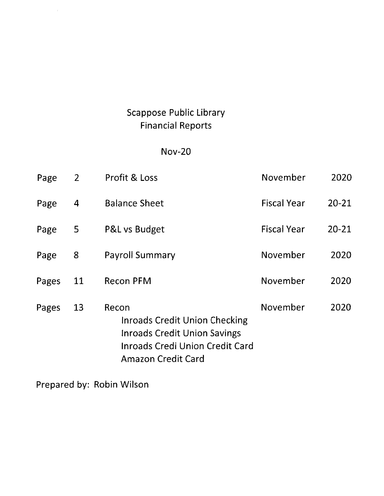# **Scappose Public Library Financial Reports**

## $Nov-20$

| Page  | $\overline{2}$ | Profit & Loss                                                                                                                                               | November           | 2020      |
|-------|----------------|-------------------------------------------------------------------------------------------------------------------------------------------------------------|--------------------|-----------|
| Page  | 4              | <b>Balance Sheet</b>                                                                                                                                        | <b>Fiscal Year</b> | $20 - 21$ |
| Page  | 5              | P&L vs Budget                                                                                                                                               | <b>Fiscal Year</b> | $20 - 21$ |
| Page  | 8              | <b>Payroll Summary</b>                                                                                                                                      | November           | 2020      |
| Pages | 11             | <b>Recon PFM</b>                                                                                                                                            | November           | 2020      |
| Pages | 13             | Recon<br><b>Inroads Credit Union Checking</b><br><b>Inroads Credit Union Savings</b><br><b>Inroads Credi Union Credit Card</b><br><b>Amazon Credit Card</b> | November           | 2020      |

Prepared by: Robin Wilson

 $\frac{1}{2} \frac{1}{2} \frac{1}{2}$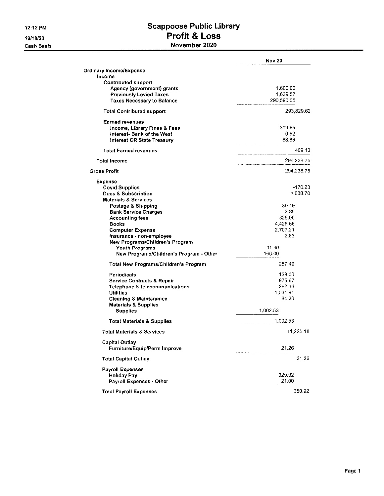12:12 PM

12/18/20 **Cash Basis** 

### **Scappoose Public Library** Profit & Loss November 2020

|                                         | <b>Nov 20</b> |
|-----------------------------------------|---------------|
| <b>Ordinary Income/Expense</b>          |               |
| Income                                  |               |
| <b>Contributed support</b>              |               |
| Agency (government) grants              | 1.600.00      |
| <b>Previously Levied Taxes</b>          | 1,639.57      |
| <b>Taxes Necessary to Balance</b>       | 290,590.05    |
| <b>Total Contributed support</b>        | 293,829.62    |
|                                         |               |
| <b>Earned revenues</b>                  |               |
| Income, Library Fines & Fees            | 319.65        |
| Interest- Bank of the West              | 0.62          |
| <b>Interest OR State Treasury</b>       | 88.86         |
| <b>Total Earned revenues</b>            | 409.13        |
| <b>Total Income</b>                     | 294,238.75    |
|                                         |               |
| <b>Gross Profit</b>                     | 294,238.75    |
| <b>Expense</b>                          |               |
| <b>Covid Supplies</b>                   | $-170.23$     |
| <b>Dues &amp; Subscription</b>          | 1,038.70      |
| <b>Materials &amp; Services</b>         |               |
| Postage & Shipping                      | 39.49         |
| <b>Bank Service Charges</b>             | 2.85          |
| <b>Accounting fees</b>                  | 325.00        |
| <b>Books</b>                            | 4.425.66      |
| <b>Computer Expense</b>                 | 2.707.21      |
| Insurance - non-employee                | 2.83          |
| New Programs/Children's Program         |               |
| <b>Youth Programs</b>                   | 91.49         |
| New Programs/Children's Program - Other | 166.00        |
| Total New Programs/Children's Program   | 257.49        |
| <b>Periodicals</b>                      | 138.00        |
| <b>Service Contracts &amp; Repair</b>   | 975.67        |
| Telephone & telecommunications          | 282.34        |
| <b>Utilities</b>                        | 1,031.91      |
| <b>Cleaning &amp; Maintenance</b>       | 34.20         |
| <b>Materials &amp; Supplies</b>         |               |
| <b>Supplies</b>                         | 1,002.53      |
| Total Materials & Supplies              | 1,002.53      |
| <b>Total Materials &amp; Services</b>   | 11,225.18     |
| <b>Capital Outlay</b>                   |               |
| Furniture/Equip/Perm Improve            | 21.26         |
| <b>Total Capital Outlay</b>             | 21.26         |
| <b>Payroll Expenses</b>                 |               |
| <b>Holiday Pav</b>                      | 329.92        |
| Payroll Expenses - Other                | 21.00         |
| <b>Total Payroll Expenses</b>           | 350.92        |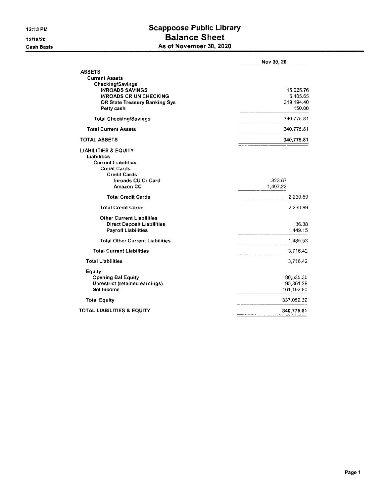#### **Scappoose Public Library Balance Sheet** As of November 30, 2020

|                                                                                                                                                                      | Nov 30, 20                                    |
|----------------------------------------------------------------------------------------------------------------------------------------------------------------------|-----------------------------------------------|
| <b>ASSETS</b><br><b>Current Assets</b>                                                                                                                               |                                               |
| <b>Checking/Savings</b><br><b>INROADS SAVINGS</b><br><b>INROADS CR UN CHECKING</b><br><b>OR State Treasury Banking Sys</b><br>Petty cash                             | 15,025.76<br>6,405.65<br>319.194.40<br>150.00 |
| <b>Total Checking/Savings</b>                                                                                                                                        | 340,775.81                                    |
| <b>Total Current Assets</b>                                                                                                                                          | 340,775.81                                    |
| <b>TOTAL ASSETS</b>                                                                                                                                                  | 340,775.81                                    |
| <b>LIABILITIES &amp; EQUITY</b><br>Liabilities<br><b>Current Liabilities</b><br><b>Credit Cards</b><br><b>Credit Cards</b><br><b>Inroads CU Cr Card</b><br>Amazon CC | 823.67<br>1,407.22                            |
| <b>Total Credit Cards</b>                                                                                                                                            | 2,230.89                                      |
| <b>Total Credit Cards</b>                                                                                                                                            | 2.230.89                                      |
| <b>Other Current Liabilities</b><br><b>Direct Deposit Liabilities</b><br><b>Payroll Liabilities</b>                                                                  | 36.38<br>1,449.15                             |
| <b>Total Other Current Liabilities</b>                                                                                                                               | 1,485.53                                      |
| <b>Total Current Liabilities</b>                                                                                                                                     | 3,716.42                                      |
| <b>Total Liabilities</b>                                                                                                                                             | 3,716.42                                      |
| Equity<br><b>Opening Bal Equity</b><br>Unrestrict (retained earnings)<br>Net Income                                                                                  | 80,535.30<br>95,361.29<br>161,162.80          |
| <b>Total Equity</b>                                                                                                                                                  | 337,059.39                                    |
| TOTAL LIABILITIES & EQUITY                                                                                                                                           | 340,775.81                                    |
|                                                                                                                                                                      |                                               |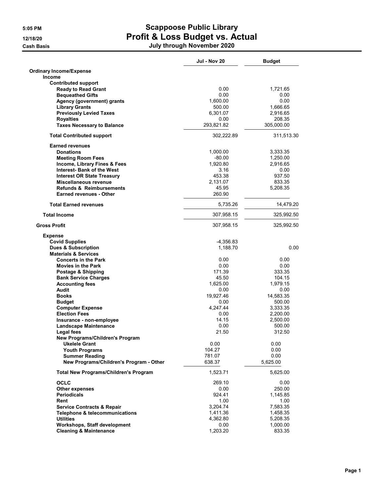|                                                 | <b>Jul - Nov 20</b> | <b>Budget</b> |
|-------------------------------------------------|---------------------|---------------|
| <b>Ordinary Income/Expense</b><br><b>Income</b> |                     |               |
| <b>Contributed support</b>                      |                     |               |
| <b>Ready to Read Grant</b>                      | 0.00                | 1,721.65      |
| <b>Bequeathed Gifts</b>                         | 0.00                | 0.00          |
| Agency (government) grants                      | 1,600.00            | 0.00          |
| <b>Library Grants</b>                           | 500.00              | 1,666.65      |
| <b>Previously Levied Taxes</b>                  | 6,301.07            | 2,916.65      |
| <b>Royalties</b>                                | 0.00<br>293,821.82  | 208.35        |
| <b>Taxes Necessary to Balance</b>               |                     | 305,000.00    |
| <b>Total Contributed support</b>                | 302,222.89          | 311,513.30    |
| <b>Earned revenues</b><br><b>Donations</b>      | 1,000.00            | 3,333.35      |
| <b>Meeting Room Fees</b>                        | $-80.00$            | 1,250.00      |
| Income, Library Fines & Fees                    | 1,920.80            | 2,916.65      |
| <b>Interest- Bank of the West</b>               | 3.16                | 0.00          |
| <b>Interest OR State Treasury</b>               | 453.38              | 937.50        |
| Miscellaneous revenue                           | 2,131.07            | 833.35        |
| <b>Refunds &amp; Reimbursements</b>             | 45.95               | 5,208.35      |
| <b>Earned revenues - Other</b>                  | 260.90              |               |
| <b>Total Earned revenues</b>                    | 5,735.26            | 14,479.20     |
| <b>Total Income</b>                             | 307,958.15          | 325,992.50    |
| <b>Gross Profit</b>                             | 307,958.15          | 325,992.50    |
| <b>Expense</b>                                  |                     |               |
| <b>Covid Supplies</b>                           | -4,356.83           |               |
| <b>Dues &amp; Subscription</b>                  | 1,188.70            | 0.00          |
| <b>Materials &amp; Services</b>                 |                     |               |
| <b>Concerts in the Park</b>                     | 0.00                | 0.00          |
| <b>Movies in the Park</b>                       | 0.00                | 0.00          |
| Postage & Shipping                              | 171.39              | 333.35        |
| <b>Bank Service Charges</b>                     | 45.50               | 104.15        |
| <b>Accounting fees</b>                          | 1,625.00            | 1,979.15      |
| Audit                                           | 0.00                | 0.00          |
| <b>Books</b>                                    | 19,927.46           | 14,583.35     |
| <b>Budget</b>                                   | 0.00                | 500.00        |
| <b>Computer Expense</b>                         | 4,247.44            | 3,333.35      |
| <b>Election Fees</b>                            | 0.00                | 2,200.00      |
| Insurance - non-employee                        | 14.15               | 2,500.00      |
| <b>Landscape Maintenance</b>                    | 0.00                | 500.00        |
| <b>Legal fees</b>                               | 21.50               | 312.50        |
| New Programs/Children's Program                 |                     |               |
| <b>Ukelele Grant</b>                            | 0.00                | 0.00          |
| <b>Youth Programs</b>                           | 104.27              | 0.00          |
| <b>Summer Reading</b>                           | 781.07              | 0.00          |
| New Programs/Children's Program - Other         | 638.37              | 5,625.00      |
| <b>Total New Programs/Children's Program</b>    | 1,523.71            | 5,625.00      |
| <b>OCLC</b>                                     | 269.10              | 0.00          |
| <b>Other expenses</b>                           | 0.00                | 250.00        |
| <b>Periodicals</b>                              | 924.41              | 1,145.85      |
| Rent                                            | 1.00                | 1.00          |
| <b>Service Contracts &amp; Repair</b>           | 3,204.74            | 7,583.35      |
| <b>Telephone &amp; telecommunications</b>       | 1,411.36            | 1,458.35      |
| <b>Utilities</b>                                | 4,362.80            | 5,208.35      |
| <b>Workshops, Staff development</b>             | 0.00                | 1,000.00      |
| <b>Cleaning &amp; Maintenance</b>               | 1,203.20            | 833.35        |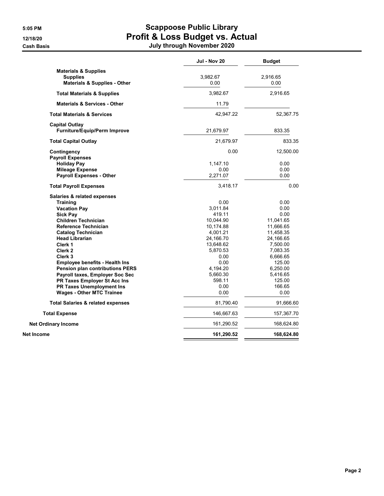|                                                                                    | Jul - Nov 20     | <b>Budget</b>    |
|------------------------------------------------------------------------------------|------------------|------------------|
| <b>Materials &amp; Supplies</b><br><b>Supplies</b><br>Materials & Supplies - Other | 3,982.67<br>0.00 | 2,916.65<br>0.00 |
| <b>Total Materials &amp; Supplies</b>                                              | 3,982.67         | 2,916.65         |
| <b>Materials &amp; Services - Other</b>                                            | 11.79            |                  |
| <b>Total Materials &amp; Services</b>                                              | 42,947.22        | 52,367.75        |
| <b>Capital Outlay</b><br>Furniture/Equip/Perm Improve                              | 21,679.97        | 833.35           |
| <b>Total Capital Outlay</b>                                                        | 21,679.97        | 833.35           |
| Contingency<br><b>Payroll Expenses</b>                                             | 0.00             | 12,500.00        |
| <b>Holiday Pay</b>                                                                 | 1,147.10         | 0.00             |
| <b>Mileage Expense</b>                                                             | 0.00             | 0.00             |
| <b>Payroll Expenses - Other</b>                                                    | 2,271.07         | 0.00             |
| <b>Total Payroll Expenses</b>                                                      | 3,418.17         | 0.00             |
| Salaries & related expenses                                                        |                  |                  |
| <b>Training</b>                                                                    | 0.00             | 0.00             |
| <b>Vacation Pay</b>                                                                | 3,011.84         | 0.00             |
| <b>Sick Pay</b>                                                                    | 419.11           | 0.00             |
| <b>Children Technician</b>                                                         | 10,044.90        | 11,041.65        |
| Reference Technician                                                               | 10,174.88        | 11,666.65        |
| <b>Catalog Technician</b>                                                          | 4,001.21         | 11,458.35        |
| <b>Head Librarian</b>                                                              | 24,166.70        | 24,166.65        |
| Clerk 1                                                                            | 13,648.62        | 7,500.00         |
| Clerk <sub>2</sub>                                                                 | 5,870.53         | 7,083.35         |
| Clerk 3                                                                            | 0.00             | 6,666.65         |
| <b>Employee benefits - Health Ins</b>                                              | 0.00             | 125.00           |
| <b>Pension plan contributions PERS</b>                                             | 4,194.20         | 6,250.00         |
| Payroll taxes, Employer Soc Sec                                                    | 5,660.30         | 5,416.65         |
| PR Taxes Employer St Acc Ins                                                       | 598.11           | 125.00           |
| <b>PR Taxes Unemployment Ins</b>                                                   | 0.00             | 166.65           |
| <b>Wages - Other MTC Trainee</b>                                                   | 0.00             | 0.00             |
| <b>Total Salaries &amp; related expenses</b>                                       | 81,790.40        | 91,666.60        |
| <b>Total Expense</b>                                                               | 146,667.63       | 157,367.70       |
| <b>Net Ordinary Income</b>                                                         | 161,290.52       | 168,624.80       |
| Net Income                                                                         | 161,290.52       | 168,624.80       |
|                                                                                    |                  |                  |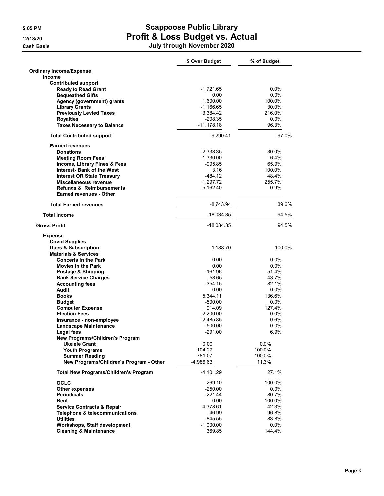|                                                 | \$ Over Budget | % of Budget |
|-------------------------------------------------|----------------|-------------|
| <b>Ordinary Income/Expense</b><br><b>Income</b> |                |             |
| <b>Contributed support</b>                      |                |             |
| <b>Ready to Read Grant</b>                      | $-1,721.65$    | $0.0\%$     |
| <b>Bequeathed Gifts</b>                         | 0.00           | 0.0%        |
| Agency (government) grants                      | 1,600.00       | 100.0%      |
| <b>Library Grants</b>                           | $-1,166.65$    | 30.0%       |
| <b>Previously Levied Taxes</b>                  | 3,384.42       | 216.0%      |
| <b>Royalties</b>                                | $-208.35$      | $0.0\%$     |
| <b>Taxes Necessary to Balance</b>               | $-11,178.18$   | 96.3%       |
| <b>Total Contributed support</b>                | $-9,290.41$    | 97.0%       |
| <b>Earned revenues</b>                          |                |             |
| <b>Donations</b>                                | $-2,333.35$    | 30.0%       |
| <b>Meeting Room Fees</b>                        | $-1,330.00$    | $-6.4%$     |
| Income, Library Fines & Fees                    | -995.85        | 65.9%       |
| <b>Interest- Bank of the West</b>               | 3.16           | 100.0%      |
| <b>Interest OR State Treasury</b>               | $-484.12$      | 48.4%       |
| Miscellaneous revenue                           | 1,297.72       | 255.7%      |
| <b>Refunds &amp; Reimbursements</b>             | $-5,162.40$    | 0.9%        |
| <b>Earned revenues - Other</b>                  |                |             |
| <b>Total Earned revenues</b>                    | $-8,743.94$    | 39.6%       |
| <b>Total Income</b>                             | $-18,034.35$   | 94.5%       |
| <b>Gross Profit</b>                             | $-18,034.35$   | 94.5%       |
| <b>Expense</b>                                  |                |             |
| <b>Covid Supplies</b>                           |                |             |
| <b>Dues &amp; Subscription</b>                  | 1,188.70       | 100.0%      |
| <b>Materials &amp; Services</b>                 |                |             |
| <b>Concerts in the Park</b>                     | 0.00           | $0.0\%$     |
| <b>Movies in the Park</b>                       | 0.00           | $0.0\%$     |
| Postage & Shipping                              | $-161.96$      | 51.4%       |
| <b>Bank Service Charges</b>                     | $-58.65$       | 43.7%       |
| <b>Accounting fees</b>                          | $-354.15$      | 82.1%       |
| Audit                                           | 0.00           | $0.0\%$     |
| <b>Books</b>                                    | 5,344.11       | 136.6%      |
| <b>Budget</b>                                   | $-500.00$      | $0.0\%$     |
| <b>Computer Expense</b>                         | 914.09         | 127.4%      |
| <b>Election Fees</b>                            | $-2,200.00$    | $0.0\%$     |
| Insurance - non-employee                        | $-2.485.85$    | 0.6%        |
| <b>Landscape Maintenance</b>                    | $-500.00$      | $0.0\%$     |
| Legal fees                                      | $-291.00$      | 6.9%        |
| New Programs/Children's Program                 |                |             |
| <b>Ukelele Grant</b>                            | 0.00           | 0.0%        |
| <b>Youth Programs</b>                           | 104.27         | 100.0%      |
| <b>Summer Reading</b>                           | 781.07         | 100.0%      |
| New Programs/Children's Program - Other         | -4,986.63      | 11.3%       |
| <b>Total New Programs/Children's Program</b>    | $-4,101.29$    | 27.1%       |
| <b>OCLC</b>                                     | 269.10         | 100.0%      |
| Other expenses                                  | $-250.00$      | $0.0\%$     |
| <b>Periodicals</b>                              | $-221.44$      | 80.7%       |
| Rent                                            | 0.00           | 100.0%      |
| <b>Service Contracts &amp; Repair</b>           | $-4,378.61$    | 42.3%       |
| <b>Telephone &amp; telecommunications</b>       | -46.99         | 96.8%       |
| <b>Utilities</b>                                | $-845.55$      | 83.8%       |
| Workshops, Staff development                    | $-1,000.00$    | $0.0\%$     |
| <b>Cleaning &amp; Maintenance</b>               | 369.85         | 144.4%      |